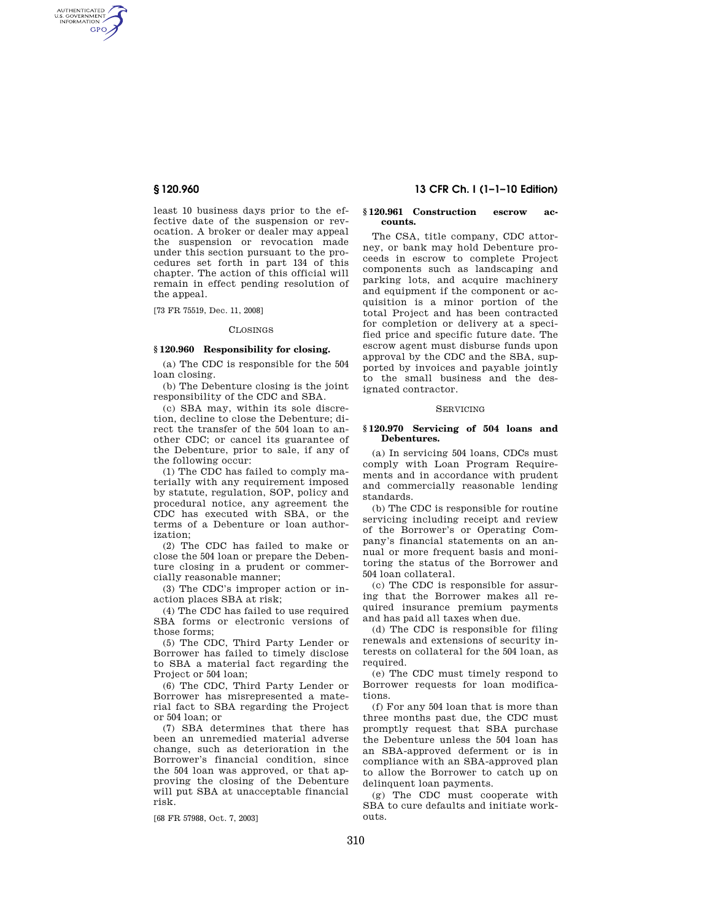AUTHENTICATED<br>U.S. GOVERNMENT<br>INFORMATION GPO

> least 10 business days prior to the effective date of the suspension or revocation. A broker or dealer may appeal the suspension or revocation made under this section pursuant to the procedures set forth in part 134 of this chapter. The action of this official will remain in effect pending resolution of the appeal.

[73 FR 75519, Dec. 11, 2008]

### CLOSINGS

# **§ 120.960 Responsibility for closing.**

(a) The CDC is responsible for the 504 loan closing.

(b) The Debenture closing is the joint responsibility of the CDC and SBA.

(c) SBA may, within its sole discretion, decline to close the Debenture; direct the transfer of the 504 loan to another CDC; or cancel its guarantee of the Debenture, prior to sale, if any of the following occur:

(1) The CDC has failed to comply materially with any requirement imposed by statute, regulation, SOP, policy and procedural notice, any agreement the CDC has executed with SBA, or the terms of a Debenture or loan authorization;

(2) The CDC has failed to make or close the 504 loan or prepare the Debenture closing in a prudent or commercially reasonable manner;

(3) The CDC's improper action or inaction places SBA at risk;

(4) The CDC has failed to use required SBA forms or electronic versions of those forms;

(5) The CDC, Third Party Lender or Borrower has failed to timely disclose to SBA a material fact regarding the Project or 504 loan;

(6) The CDC, Third Party Lender or Borrower has misrepresented a material fact to SBA regarding the Project or 504 loan; or

(7) SBA determines that there has been an unremedied material adverse change, such as deterioration in the Borrower's financial condition, since the 504 loan was approved, or that approving the closing of the Debenture will put SBA at unacceptable financial risk.

[68 FR 57988, Oct. 7, 2003]

# **§ 120.960 13 CFR Ch. I (1–1–10 Edition)**

# **§ 120.961 Construction escrow accounts.**

The CSA, title company, CDC attorney, or bank may hold Debenture proceeds in escrow to complete Project components such as landscaping and parking lots, and acquire machinery and equipment if the component or acquisition is a minor portion of the total Project and has been contracted for completion or delivery at a specified price and specific future date. The escrow agent must disburse funds upon approval by the CDC and the SBA, supported by invoices and payable jointly to the small business and the designated contractor.

# SERVICING

### **§ 120.970 Servicing of 504 loans and Debentures.**

(a) In servicing 504 loans, CDCs must comply with Loan Program Requirements and in accordance with prudent and commercially reasonable lending standards.

(b) The CDC is responsible for routine servicing including receipt and review of the Borrower's or Operating Company's financial statements on an annual or more frequent basis and monitoring the status of the Borrower and 504 loan collateral.

(c) The CDC is responsible for assuring that the Borrower makes all required insurance premium payments and has paid all taxes when due.

(d) The CDC is responsible for filing renewals and extensions of security interests on collateral for the 504 loan, as required.

(e) The CDC must timely respond to Borrower requests for loan modifications.

(f) For any 504 loan that is more than three months past due, the CDC must promptly request that SBA purchase the Debenture unless the 504 loan has an SBA-approved deferment or is in compliance with an SBA-approved plan to allow the Borrower to catch up on delinquent loan payments.

(g) The CDC must cooperate with SBA to cure defaults and initiate workouts.